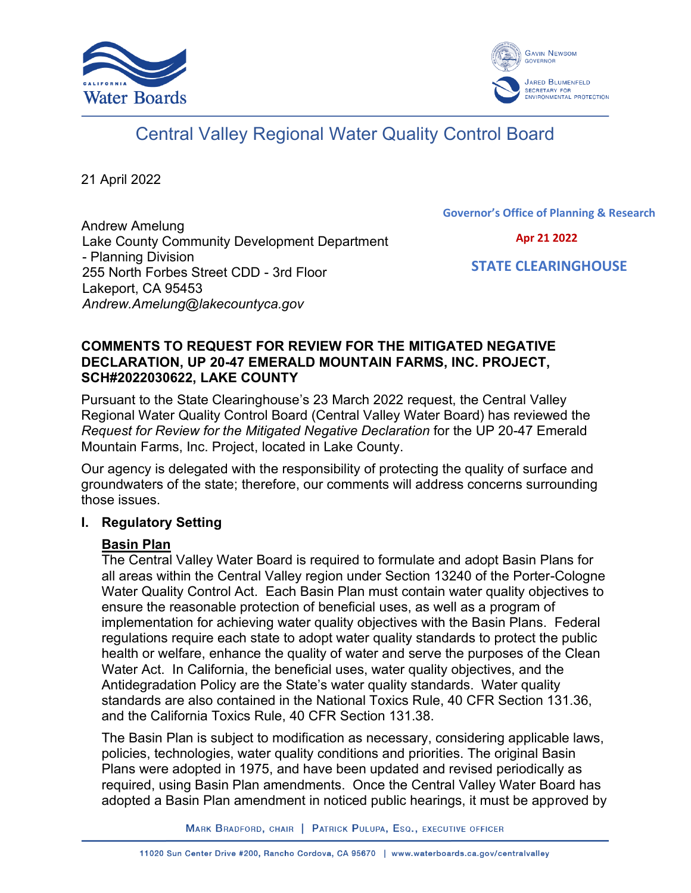



# Central Valley Regional Water Quality Control Board

21 April 2022

Andrew Amelung Lake County Community Development Department - Planning Division 255 North Forbes Street CDD - 3rd Floor Lakeport, CA 95453 *Andrew.Amelung@lakecountyca.gov*

Governor's Office of Planning & Research

Apr 21 2022

STATE CLEARINGHOUSE

## **COMMENTS TO REQUEST FOR REVIEW FOR THE MITIGATED NEGATIVE DECLARATION, UP 20-47 EMERALD MOUNTAIN FARMS, INC. PROJECT, SCH#2022030622, LAKE COUNTY**

Pursuant to the State Clearinghouse's 23 March 2022 request, the Central Valley Regional Water Quality Control Board (Central Valley Water Board) has reviewed the *Request for Review for the Mitigated Negative Declaration* for the UP 20-47 Emerald Mountain Farms, Inc. Project, located in Lake County.

Our agency is delegated with the responsibility of protecting the quality of surface and groundwaters of the state; therefore, our comments will address concerns surrounding those issues.

## **I. Regulatory Setting**

## **Basin Plan**

The Central Valley Water Board is required to formulate and adopt Basin Plans for all areas within the Central Valley region under Section 13240 of the Porter-Cologne Water Quality Control Act. Each Basin Plan must contain water quality objectives to ensure the reasonable protection of beneficial uses, as well as a program of implementation for achieving water quality objectives with the Basin Plans. Federal regulations require each state to adopt water quality standards to protect the public health or welfare, enhance the quality of water and serve the purposes of the Clean Water Act. In California, the beneficial uses, water quality objectives, and the Antidegradation Policy are the State's water quality standards. Water quality standards are also contained in the National Toxics Rule, 40 CFR Section 131.36, and the California Toxics Rule, 40 CFR Section 131.38.

The Basin Plan is subject to modification as necessary, considering applicable laws, policies, technologies, water quality conditions and priorities. The original Basin Plans were adopted in 1975, and have been updated and revised periodically as required, using Basin Plan amendments. Once the Central Valley Water Board has adopted a Basin Plan amendment in noticed public hearings, it must be approved by

MARK BRADFORD, CHAIR | PATRICK PULUPA, ESQ., EXECUTIVE OFFICER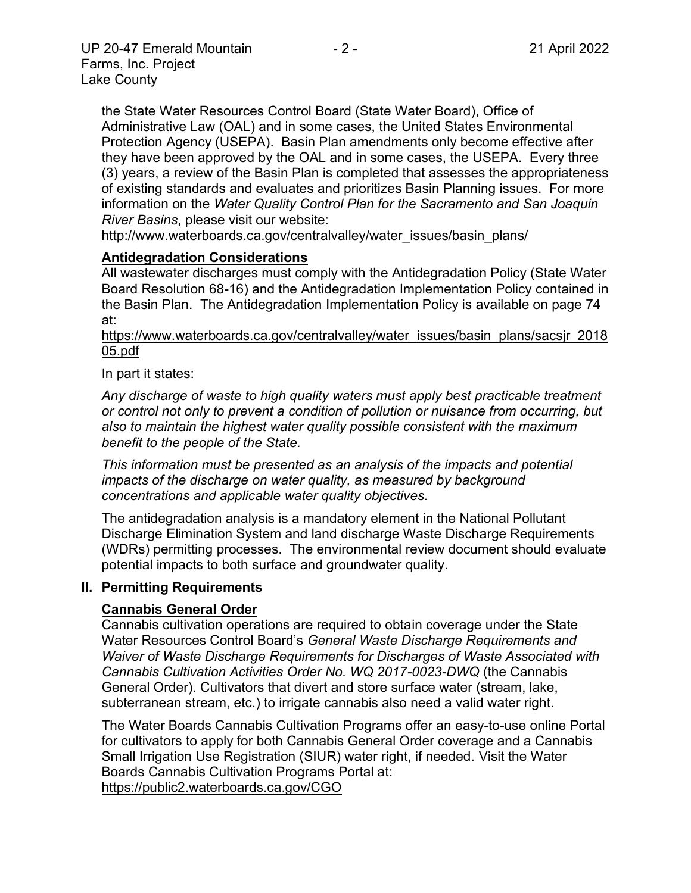the State Water Resources Control Board (State Water Board), Office of Administrative Law (OAL) and in some cases, the United States Environmental Protection Agency (USEPA). Basin Plan amendments only become effective after they have been approved by the OAL and in some cases, the USEPA. Every three (3) years, a review of the Basin Plan is completed that assesses the appropriateness of existing standards and evaluates and prioritizes Basin Planning issues. For more information on the *Water Quality Control Plan for the Sacramento and San Joaquin River Basins*, please visit our website:

[http://www.waterboards.ca.gov/centralvalley/water\\_issues/basin\\_plans/](http://www.waterboards.ca.gov/centralvalley/water_issues/basin_plans/)

## **Antidegradation Considerations**

All wastewater discharges must comply with the Antidegradation Policy (State Water Board Resolution 68-16) and the Antidegradation Implementation Policy contained in the Basin Plan. The Antidegradation Implementation Policy is available on page 74 at:

https://www.waterboards.ca.gov/centralvalley/water\_issues/basin\_plans/sacsjr\_2018 05.pdf

In part it states:

*Any discharge of waste to high quality waters must apply best practicable treatment or control not only to prevent a condition of pollution or nuisance from occurring, but also to maintain the highest water quality possible consistent with the maximum benefit to the people of the State.*

*This information must be presented as an analysis of the impacts and potential impacts of the discharge on water quality, as measured by background concentrations and applicable water quality objectives.*

The antidegradation analysis is a mandatory element in the National Pollutant Discharge Elimination System and land discharge Waste Discharge Requirements (WDRs) permitting processes. The environmental review document should evaluate potential impacts to both surface and groundwater quality.

## **II. Permitting Requirements**

# **Cannabis General Order**

Cannabis cultivation operations are required to obtain coverage under the State Water Resources Control Board's *General Waste Discharge Requirements and Waiver of Waste Discharge Requirements for Discharges of Waste Associated with Cannabis Cultivation Activities Order No. WQ 2017-0023-DWQ* (the Cannabis General Order). Cultivators that divert and store surface water (stream, lake, subterranean stream, etc.) to irrigate cannabis also need a valid water right.

The Water Boards Cannabis Cultivation Programs offer an easy-to-use online Portal for cultivators to apply for both Cannabis General Order coverage and a Cannabis Small Irrigation Use Registration (SIUR) water right, if needed. Visit the Water Boards Cannabis Cultivation Programs Portal at: https://public2.waterboards.ca.gov/CGO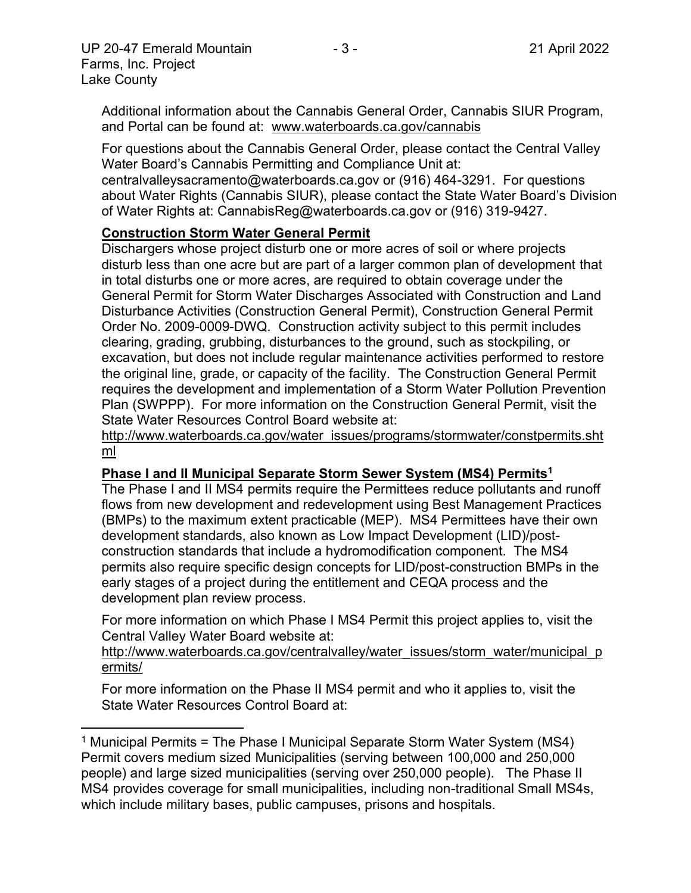Additional information about the Cannabis General Order, Cannabis SIUR Program, and Portal can be found at: www.waterboards.ca.gov/cannabis

For questions about the Cannabis General Order, please contact the Central Valley Water Board's Cannabis Permitting and Compliance Unit at:

centralvalleysacramento@waterboards.ca.gov or (916) 464-3291. For questions about Water Rights (Cannabis SIUR), please contact the State Water Board's Division of Water Rights at: CannabisReg@waterboards.ca.gov or (916) 319-9427.

# **Construction Storm Water General Permit**

Dischargers whose project disturb one or more acres of soil or where projects disturb less than one acre but are part of a larger common plan of development that in total disturbs one or more acres, are required to obtain coverage under the General Permit for Storm Water Discharges Associated with Construction and Land Disturbance Activities (Construction General Permit), Construction General Permit Order No. 2009-0009-DWQ. Construction activity subject to this permit includes clearing, grading, grubbing, disturbances to the ground, such as stockpiling, or excavation, but does not include regular maintenance activities performed to restore the original line, grade, or capacity of the facility. The Construction General Permit requires the development and implementation of a Storm Water Pollution Prevention Plan (SWPPP). For more information on the Construction General Permit, visit the State Water Resources Control Board website at:

[http://www.waterboards.ca.gov/water\\_issues/programs/stormwater/constpermits.sht](http://www.waterboards.ca.gov/water_issues/programs/stormwater/constpermits.shtml) [ml](http://www.waterboards.ca.gov/water_issues/programs/stormwater/constpermits.shtml)

# **Phase I and II Municipal Separate Storm Sewer System (MS4) Permits<sup>1</sup>**

The Phase I and II MS4 permits require the Permittees reduce pollutants and runoff flows from new development and redevelopment using Best Management Practices (BMPs) to the maximum extent practicable (MEP). MS4 Permittees have their own development standards, also known as Low Impact Development (LID)/postconstruction standards that include a hydromodification component. The MS4 permits also require specific design concepts for LID/post-construction BMPs in the early stages of a project during the entitlement and CEQA process and the development plan review process.

For more information on which Phase I MS4 Permit this project applies to, visit the Central Valley Water Board website at:

http://www.waterboards.ca.gov/centralvalley/water\_issues/storm\_water/municipal\_p ermits/

For more information on the Phase II MS4 permit and who it applies to, visit the State Water Resources Control Board at:

<sup>&</sup>lt;sup>1</sup> Municipal Permits = The Phase I Municipal Separate Storm Water System (MS4) Permit covers medium sized Municipalities (serving between 100,000 and 250,000 people) and large sized municipalities (serving over 250,000 people). The Phase II MS4 provides coverage for small municipalities, including non-traditional Small MS4s, which include military bases, public campuses, prisons and hospitals.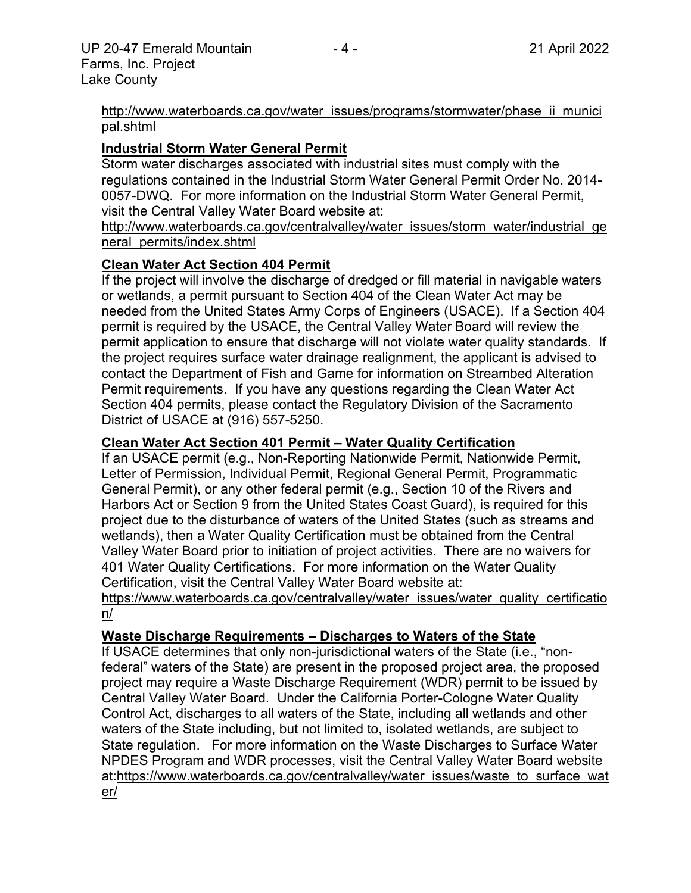#### http://www.waterboards.ca.gov/water\_issues/programs/stormwater/phase\_ii\_munici pal.shtml

# **Industrial Storm Water General Permit**

Storm water discharges associated with industrial sites must comply with the regulations contained in the Industrial Storm Water General Permit Order No. 2014- 0057-DWQ. For more information on the Industrial Storm Water General Permit, visit the Central Valley Water Board website at:

http://www.waterboards.ca.gov/centralvalley/water\_issues/storm\_water/industrial\_ge neral\_permits/index.shtml

## **Clean Water Act Section 404 Permit**

If the project will involve the discharge of dredged or fill material in navigable waters or wetlands, a permit pursuant to Section 404 of the Clean Water Act may be needed from the United States Army Corps of Engineers (USACE). If a Section 404 permit is required by the USACE, the Central Valley Water Board will review the permit application to ensure that discharge will not violate water quality standards. If the project requires surface water drainage realignment, the applicant is advised to contact the Department of Fish and Game for information on Streambed Alteration Permit requirements. If you have any questions regarding the Clean Water Act Section 404 permits, please contact the Regulatory Division of the Sacramento District of USACE at (916) 557-5250.

## **Clean Water Act Section 401 Permit – Water Quality Certification**

If an USACE permit (e.g., Non-Reporting Nationwide Permit, Nationwide Permit, Letter of Permission, Individual Permit, Regional General Permit, Programmatic General Permit), or any other federal permit (e.g., Section 10 of the Rivers and Harbors Act or Section 9 from the United States Coast Guard), is required for this project due to the disturbance of waters of the United States (such as streams and wetlands), then a Water Quality Certification must be obtained from the Central Valley Water Board prior to initiation of project activities. There are no waivers for 401 Water Quality Certifications. For more information on the Water Quality Certification, visit the Central Valley Water Board website at:

https://www.waterboards.ca.gov/centralvalley/water\_issues/water\_quality\_certificatio n/

# **Waste Discharge Requirements – Discharges to Waters of the State**

If USACE determines that only non-jurisdictional waters of the State (i.e., "nonfederal" waters of the State) are present in the proposed project area, the proposed project may require a Waste Discharge Requirement (WDR) permit to be issued by Central Valley Water Board. Under the California Porter-Cologne Water Quality Control Act, discharges to all waters of the State, including all wetlands and other waters of the State including, but not limited to, isolated wetlands, are subject to State regulation. For more information on the Waste Discharges to Surface Water NPDES Program and WDR processes, visit the Central Valley Water Board website at:https://www.waterboards.ca.gov/centralvalley/water\_issues/waste\_to\_surface\_wat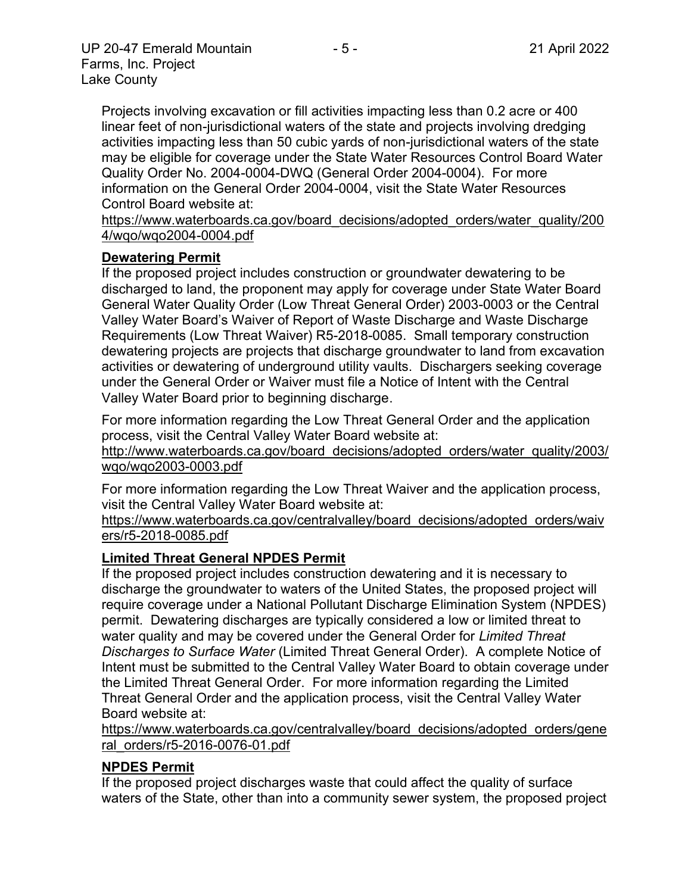Projects involving excavation or fill activities impacting less than 0.2 acre or 400 linear feet of non-jurisdictional waters of the state and projects involving dredging activities impacting less than 50 cubic yards of non-jurisdictional waters of the state may be eligible for coverage under the State Water Resources Control Board Water Quality Order No. 2004-0004-DWQ (General Order 2004-0004). For more information on the General Order 2004-0004, visit the State Water Resources Control Board website at:

https://www.waterboards.ca.gov/board\_decisions/adopted\_orders/water\_quality/200 4/wqo/wqo2004-0004.pdf

## **Dewatering Permit**

If the proposed project includes construction or groundwater dewatering to be discharged to land, the proponent may apply for coverage under State Water Board General Water Quality Order (Low Threat General Order) 2003-0003 or the Central Valley Water Board's Waiver of Report of Waste Discharge and Waste Discharge Requirements (Low Threat Waiver) R5-2018-0085. Small temporary construction dewatering projects are projects that discharge groundwater to land from excavation activities or dewatering of underground utility vaults. Dischargers seeking coverage under the General Order or Waiver must file a Notice of Intent with the Central Valley Water Board prior to beginning discharge.

For more information regarding the Low Threat General Order and the application process, visit the Central Valley Water Board website at:

http://www.waterboards.ca.gov/board\_decisions/adopted\_orders/water\_quality/2003/ wqo/wqo2003-0003.pdf

For more information regarding the Low Threat Waiver and the application process, visit the Central Valley Water Board website at:

https://www.waterboards.ca.gov/centralvalley/board\_decisions/adopted\_orders/waiv ers/r5-2018-0085.pdf

# **Limited Threat General NPDES Permit**

If the proposed project includes construction dewatering and it is necessary to discharge the groundwater to waters of the United States, the proposed project will require coverage under a National Pollutant Discharge Elimination System (NPDES) permit. Dewatering discharges are typically considered a low or limited threat to water quality and may be covered under the General Order for *Limited Threat Discharges to Surface Water* (Limited Threat General Order). A complete Notice of Intent must be submitted to the Central Valley Water Board to obtain coverage under the Limited Threat General Order. For more information regarding the Limited Threat General Order and the application process, visit the Central Valley Water Board website at:

https://www.waterboards.ca.gov/centralvalley/board\_decisions/adopted\_orders/gene ral\_orders/r5-2016-0076-01.pdf

# **NPDES Permit**

If the proposed project discharges waste that could affect the quality of surface waters of the State, other than into a community sewer system, the proposed project